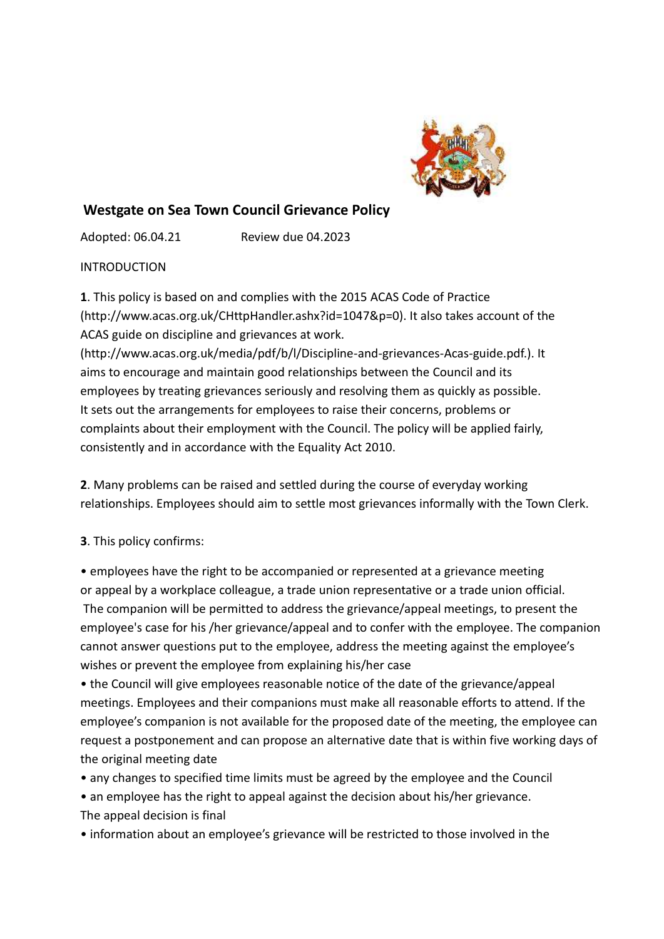

# **Westgate on Sea Town Council Grievance Policy**

Adopted: 06.04.21 Review due 04.2023

INTRODUCTION

**1**. This policy is based on and complies with the 2015 ACAS Code of Practice (http://www.acas.org.uk/CHttpHandler.ashx?id=1047&p=0). It also takes account of the ACAS guide on discipline and grievances at work.

(http://www.acas.org.uk/media/pdf/b/l/Discipline-and-grievances-Acas-guide.pdf.). It aims to encourage and maintain good relationships between the Council and its employees by treating grievances seriously and resolving them as quickly as possible. It sets out the arrangements for employees to raise their concerns, problems or complaints about their employment with the Council. The policy will be applied fairly, consistently and in accordance with the Equality Act 2010.

**2**. Many problems can be raised and settled during the course of everyday working relationships. Employees should aim to settle most grievances informally with the Town Clerk.

**3**. This policy confirms:

• employees have the right to be accompanied or represented at a grievance meeting or appeal by a workplace colleague, a trade union representative or a trade union official. The companion will be permitted to address the grievance/appeal meetings, to present the employee's case for his /her grievance/appeal and to confer with the employee. The companion cannot answer questions put to the employee, address the meeting against the employee's wishes or prevent the employee from explaining his/her case

• the Council will give employees reasonable notice of the date of the grievance/appeal meetings. Employees and their companions must make all reasonable efforts to attend. If the employee's companion is not available for the proposed date of the meeting, the employee can request a postponement and can propose an alternative date that is within five working days of the original meeting date

- any changes to specified time limits must be agreed by the employee and the Council
- an employee has the right to appeal against the decision about his/her grievance. The appeal decision is final
- information about an employee's grievance will be restricted to those involved in the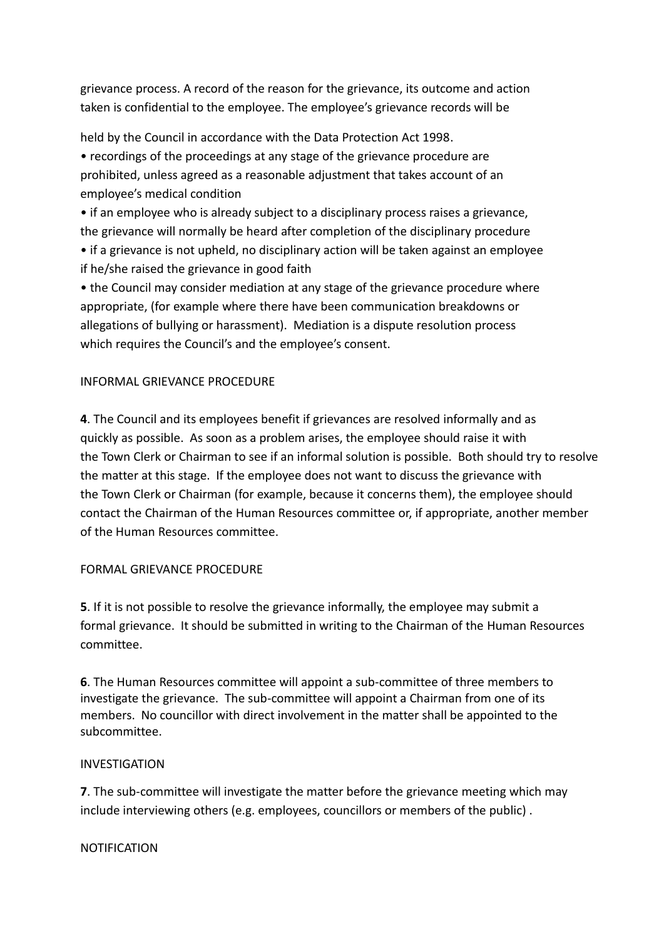grievance process. A record of the reason for the grievance, its outcome and action taken is confidential to the employee. The employee's grievance records will be

held by the Council in accordance with the Data Protection Act 1998.

• recordings of the proceedings at any stage of the grievance procedure are prohibited, unless agreed as a reasonable adjustment that takes account of an employee's medical condition

• if an employee who is already subject to a disciplinary process raises a grievance, the grievance will normally be heard after completion of the disciplinary procedure

• if a grievance is not upheld, no disciplinary action will be taken against an employee if he/she raised the grievance in good faith

• the Council may consider mediation at any stage of the grievance procedure where appropriate, (for example where there have been communication breakdowns or allegations of bullying or harassment). Mediation is a dispute resolution process which requires the Council's and the employee's consent.

## INFORMAL GRIEVANCE PROCEDURE

**4**. The Council and its employees benefit if grievances are resolved informally and as quickly as possible. As soon as a problem arises, the employee should raise it with the Town Clerk or Chairman to see if an informal solution is possible. Both should try to resolve the matter at this stage. If the employee does not want to discuss the grievance with the Town Clerk or Chairman (for example, because it concerns them), the employee should contact the Chairman of the Human Resources committee or, if appropriate, another member of the Human Resources committee.

#### FORMAL GRIEVANCE PROCEDURE

**5**. If it is not possible to resolve the grievance informally, the employee may submit a formal grievance. It should be submitted in writing to the Chairman of the Human Resources committee.

**6**. The Human Resources committee will appoint a sub-committee of three members to investigate the grievance. The sub-committee will appoint a Chairman from one of its members. No councillor with direct involvement in the matter shall be appointed to the subcommittee.

#### INVESTIGATION

**7**. The sub-committee will investigate the matter before the grievance meeting which may include interviewing others (e.g. employees, councillors or members of the public) .

#### NOTIFICATION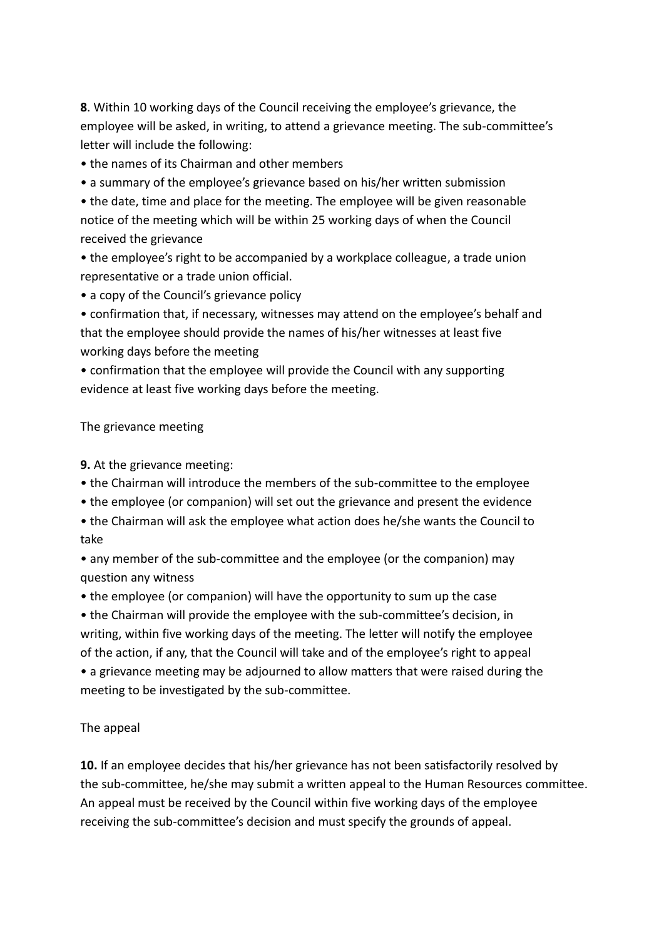**8**. Within 10 working days of the Council receiving the employee's grievance, the employee will be asked, in writing, to attend a grievance meeting. The sub-committee's letter will include the following:

• the names of its Chairman and other members

• a summary of the employee's grievance based on his/her written submission

• the date, time and place for the meeting. The employee will be given reasonable notice of the meeting which will be within 25 working days of when the Council received the grievance

• the employee's right to be accompanied by a workplace colleague, a trade union representative or a trade union official.

• a copy of the Council's grievance policy

• confirmation that, if necessary, witnesses may attend on the employee's behalf and that the employee should provide the names of his/her witnesses at least five working days before the meeting

• confirmation that the employee will provide the Council with any supporting evidence at least five working days before the meeting.

## The grievance meeting

## **9.** At the grievance meeting:

- the Chairman will introduce the members of the sub-committee to the employee
- the employee (or companion) will set out the grievance and present the evidence
- the Chairman will ask the employee what action does he/she wants the Council to take

• any member of the sub-committee and the employee (or the companion) may question any witness

• the employee (or companion) will have the opportunity to sum up the case

• the Chairman will provide the employee with the sub-committee's decision, in writing, within five working days of the meeting. The letter will notify the employee of the action, if any, that the Council will take and of the employee's right to appeal • a grievance meeting may be adjourned to allow matters that were raised during the

meeting to be investigated by the sub-committee.

## The appeal

**10.** If an employee decides that his/her grievance has not been satisfactorily resolved by the sub-committee, he/she may submit a written appeal to the Human Resources committee. An appeal must be received by the Council within five working days of the employee receiving the sub-committee's decision and must specify the grounds of appeal.